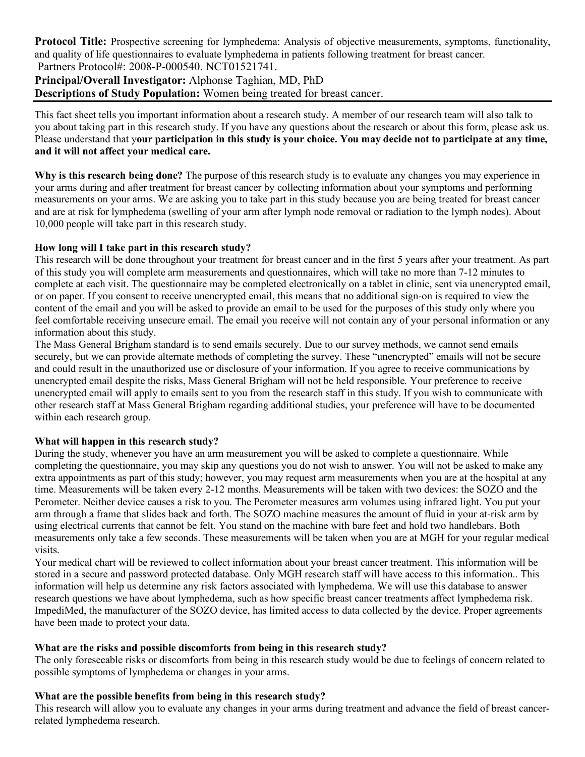**Protocol Title:** Prospective screening for lymphedema: Analysis of objective measurements, symptoms, functionality, and quality of life questionnaires to evaluate lymphedema in patients following treatment for breast cancer. Partners Protocol#: 2008-P-000540. NCT01521741.

**Principal/Overall Investigator:** Alphonse Taghian, MD, PhD **Descriptions of Study Population:** Women being treated for breast cancer.

This fact sheet tells you important information about a research study. A member of our research team will also talk to you about taking part in this research study. If you have any questions about the research or about this form, please ask us. Please understand that y**our participation in this study is your choice. You may decide not to participate at any time, and it will not affect your medical care.**

**Why is this research being done?** The purpose of this research study is to evaluate any changes you may experience in your arms during and after treatment for breast cancer by collecting information about your symptoms and performing measurements on your arms. We are asking you to take part in this study because you are being treated for breast cancer and are at risk for lymphedema (swelling of your arm after lymph node removal or radiation to the lymph nodes). About 10,000 people will take part in this research study.

# **How long will I take part in this research study?**

This research will be done throughout your treatment for breast cancer and in the first 5 years after your treatment. As part of this study you will complete arm measurements and questionnaires, which will take no more than 7-12 minutes to complete at each visit. The questionnaire may be completed electronically on a tablet in clinic, sent via unencrypted email, or on paper. If you consent to receive unencrypted email, this means that no additional sign-on is required to view the content of the email and you will be asked to provide an email to be used for the purposes of this study only where you feel comfortable receiving unsecure email. The email you receive will not contain any of your personal information or any information about this study.

The Mass General Brigham standard is to send emails securely. Due to our survey methods, we cannot send emails securely, but we can provide alternate methods of completing the survey. These "unencrypted" emails will not be secure and could result in the unauthorized use or disclosure of your information. If you agree to receive communications by unencrypted email despite the risks, Mass General Brigham will not be held responsible. Your preference to receive unencrypted email will apply to emails sent to you from the research staff in this study. If you wish to communicate with other research staff at Mass General Brigham regarding additional studies, your preference will have to be documented within each research group.

# **What will happen in this research study?**

During the study, whenever you have an arm measurement you will be asked to complete a questionnaire. While completing the questionnaire, you may skip any questions you do not wish to answer. You will not be asked to make any extra appointments as part of this study; however, you may request arm measurements when you are at the hospital at any time. Measurements will be taken every 2-12 months. Measurements will be taken with two devices: the SOZO and the Perometer. Neither device causes a risk to you. The Perometer measures arm volumes using infrared light. You put your arm through a frame that slides back and forth. The SOZO machine measures the amount of fluid in your at-risk arm by using electrical currents that cannot be felt. You stand on the machine with bare feet and hold two handlebars. Both measurements only take a few seconds. These measurements will be taken when you are at MGH for your regular medical visits.

Your medical chart will be reviewed to collect information about your breast cancer treatment. This information will be stored in a secure and password protected database. Only MGH research staff will have access to this information.. This information will help us determine any risk factors associated with lymphedema. We will use this database to answer research questions we have about lymphedema, such as how specific breast cancer treatments affect lymphedema risk. ImpediMed, the manufacturer of the SOZO device, has limited access to data collected by the device. Proper agreements have been made to protect your data.

# **What are the risks and possible discomforts from being in this research study?**

The only foreseeable risks or discomforts from being in this research study would be due to feelings of concern related to possible symptoms of lymphedema or changes in your arms.

# **What are the possible benefits from being in this research study?**

This research will allow you to evaluate any changes in your arms during treatment and advance the field of breast cancerrelated lymphedema research.